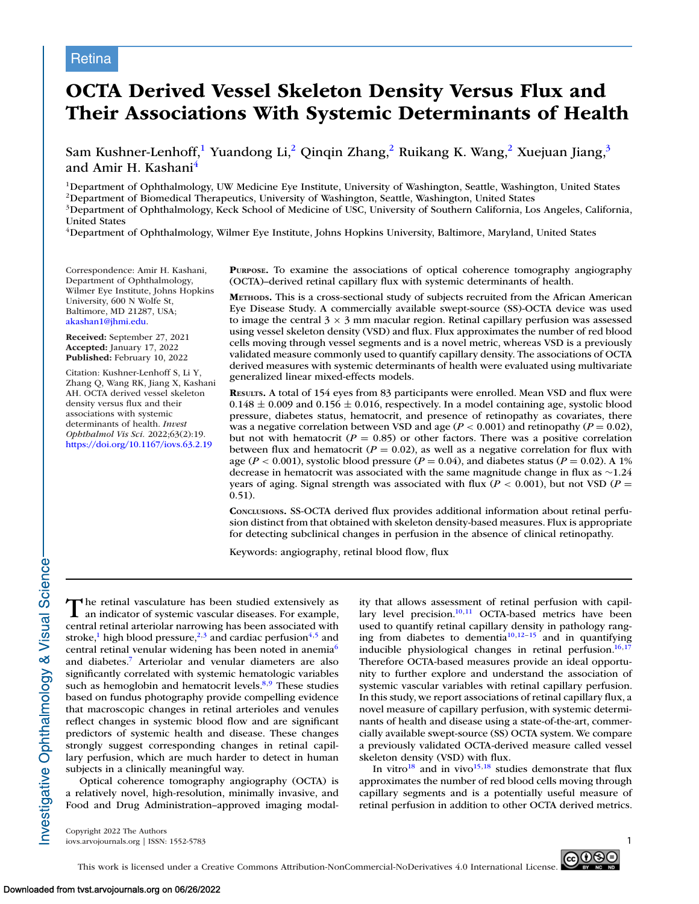# **Retina**

# **OCTA Derived Vessel Skeleton Density Versus Flux and Their Associations With Systemic Determinants of Health**

Sam Kushner-Lenhoff,<sup>1</sup> Yuandong Li,<sup>2</sup> Qinqin Zhang,<sup>2</sup> Ruikang K. Wang,<sup>2</sup> Xuejuan Jiang,<sup>3</sup> and Amir H. Kashani<sup>4</sup>

<sup>1</sup>Department of Ophthalmology, UW Medicine Eye Institute, University of Washington, Seattle, Washington, United States

2Department of Biomedical Therapeutics, University of Washington, Seattle, Washington, United States

3Department of Ophthalmology, Keck School of Medicine of USC, University of Southern California, Los Angeles, California, United States

4Department of Ophthalmology, Wilmer Eye Institute, Johns Hopkins University, Baltimore, Maryland, United States

Correspondence: Amir H. Kashani, Department of Ophthalmology, Wilmer Eye Institute, Johns Hopkins University, 600 N Wolfe St, Baltimore, MD 21287, USA; [akashan1@jhmi.edu.](mailto:akashan1@jhmi.edu)

**Received:** September 27, 2021 **Accepted:** January 17, 2022 **Published:** February 10, 2022

Citation: Kushner-Lenhoff S, Li Y, Zhang Q, Wang RK, Jiang X, Kashani AH. OCTA derived vessel skeleton density versus flux and their associations with systemic determinants of health. *Invest Ophthalmol Vis Sci.* 2022;63(2):19. <https://doi.org/10.1167/iovs.63.2.19>

**PURPOSE.** To examine the associations of optical coherence tomography angiography (OCTA)–derived retinal capillary flux with systemic determinants of health.

**METHODS.** This is a cross-sectional study of subjects recruited from the African American Eye Disease Study. A commercially available swept-source (SS)-OCTA device was used to image the central  $3 \times 3$  mm macular region. Retinal capillary perfusion was assessed using vessel skeleton density (VSD) and flux. Flux approximates the number of red blood cells moving through vessel segments and is a novel metric, whereas VSD is a previously validated measure commonly used to quantify capillary density. The associations of OCTA derived measures with systemic determinants of health were evaluated using multivariate generalized linear mixed-effects models.

**RESULTS.** A total of 154 eyes from 83 participants were enrolled. Mean VSD and flux were  $0.148 \pm 0.009$  and  $0.156 \pm 0.016$ , respectively. In a model containing age, systolic blood pressure, diabetes status, hematocrit, and presence of retinopathy as covariates, there was a negative correlation between VSD and age  $(P < 0.001)$  and retinopathy  $(P = 0.02)$ , but not with hematocrit ( $P = 0.85$ ) or other factors. There was a positive correlation between flux and hematocrit ( $P = 0.02$ ), as well as a negative correlation for flux with age ( $P < 0.001$ ), systolic blood pressure ( $P = 0.04$ ), and diabetes status ( $P = 0.02$ ). A 1% decrease in hematocrit was associated with the same magnitude change in flux as ∼1.24 years of aging. Signal strength was associated with flux ( $P < 0.001$ ), but not VSD ( $P =$ 0.51).

**CONCLUSIONS.** SS-OCTA derived flux provides additional information about retinal perfusion distinct from that obtained with skeleton density-based measures. Flux is appropriate for detecting subclinical changes in perfusion in the absence of clinical retinopathy.

Keywords: angiography, retinal blood flow, flux

The retinal vasculature has been studied extensively as an indicator of systemic vascular diseases. For example, central retinal arteriolar narrowing has been associated with stroke,<sup>1</sup> high blood pressure,<sup>2,3</sup> and cardiac perfusion<sup>4,5</sup> and central retinal venular widening has been noted in anemia<sup>6</sup> and diabetes[.7](#page-5-0) Arteriolar and venular diameters are also significantly correlated with systemic hematologic variables such as hemoglobin and hematocrit levels. $8,9$  These studies based on fundus photography provide compelling evidence that macroscopic changes in retinal arterioles and venules reflect changes in systemic blood flow and are significant predictors of systemic health and disease. These changes strongly suggest corresponding changes in retinal capillary perfusion, which are much harder to detect in human subjects in a clinically meaningful way.

Optical coherence tomography angiography (OCTA) is a relatively novel, high-resolution, minimally invasive, and Food and Drug Administration–approved imaging modality that allows assessment of retinal perfusion with capillary level precision. $10,11$  OCTA-based metrics have been used to quantify retinal capillary density in pathology ranging from diabetes to dementia $10,12-15$  $10,12-15$  and in quantifying inducible physiological changes in retinal perfusion. $16,17$ Therefore OCTA-based measures provide an ideal opportunity to further explore and understand the association of systemic vascular variables with retinal capillary perfusion. In this study, we report associations of retinal capillary flux, a novel measure of capillary perfusion, with systemic determinants of health and disease using a state-of-the-art, commercially available swept-source (SS) OCTA system. We compare a previously validated OCTA-derived measure called vessel skeleton density (VSD) with flux.

In vitro $18$  and in vivo $15,18$  studies demonstrate that flux approximates the number of red blood cells moving through capillary segments and is a potentially useful measure of retinal perfusion in addition to other OCTA derived metrics.

Copyright 2022 The Authors iovs.arvojournals.org | ISSN: 1552-5783 1

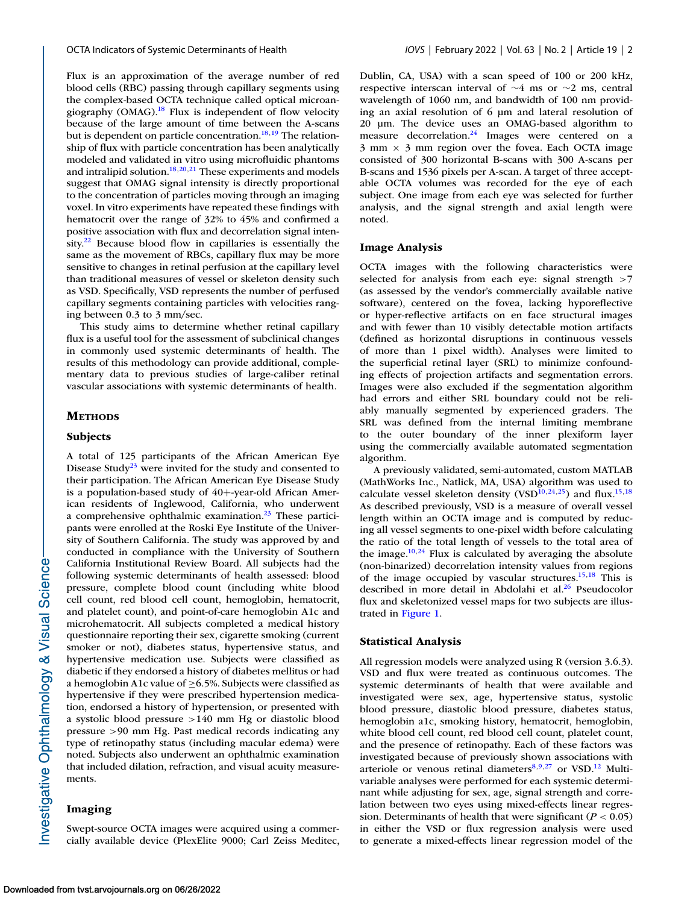Flux is an approximation of the average number of red blood cells (RBC) passing through capillary segments using the complex-based OCTA technique called optical microangiography (OMAG).<sup>18</sup> Flux is independent of flow velocity because of the large amount of time between the A-scans but is dependent on particle concentration.<sup>18,19</sup> The relationship of flux with particle concentration has been analytically modeled and validated in vitro using microfluidic phantoms and intralipid solution. $18,20,21$  These experiments and models suggest that OMAG signal intensity is directly proportional to the concentration of particles moving through an imaging voxel. In vitro experiments have repeated these findings with hematocrit over the range of 32% to 45% and confirmed a positive association with flux and decorrelation signal intensity. $22$  Because blood flow in capillaries is essentially the same as the movement of RBCs, capillary flux may be more sensitive to changes in retinal perfusion at the capillary level than traditional measures of vessel or skeleton density such as VSD. Specifically, VSD represents the number of perfused capillary segments containing particles with velocities ranging between 0.3 to 3 mm/sec.

This study aims to determine whether retinal capillary flux is a useful tool for the assessment of subclinical changes in commonly used systemic determinants of health. The results of this methodology can provide additional, complementary data to previous studies of large-caliber retinal vascular associations with systemic determinants of health.

#### **METHODS**

#### **Subjects**

A total of 125 participants of the African American Eye Disease Study<sup>23</sup> were invited for the study and consented to their participation. The African American Eye Disease Study is a population-based study of 40+-year-old African American residents of Inglewood, California, who underwent a comprehensive ophthalmic examination. $23$  These participants were enrolled at the Roski Eye Institute of the University of Southern California. The study was approved by and conducted in compliance with the University of Southern California Institutional Review Board. All subjects had the following systemic determinants of health assessed: blood pressure, complete blood count (including white blood cell count, red blood cell count, hemoglobin, hematocrit, and platelet count), and point-of-care hemoglobin A1c and microhematocrit. All subjects completed a medical history questionnaire reporting their sex, cigarette smoking (current smoker or not), diabetes status, hypertensive status, and hypertensive medication use. Subjects were classified as diabetic if they endorsed a history of diabetes mellitus or had a hemoglobin A1c value of  $\geq$  6.5%. Subjects were classified as hypertensive if they were prescribed hypertension medication, endorsed a history of hypertension, or presented with a systolic blood pressure >140 mm Hg or diastolic blood pressure >90 mm Hg. Past medical records indicating any type of retinopathy status (including macular edema) were noted. Subjects also underwent an ophthalmic examination that included dilation, refraction, and visual acuity measurements.

### **Imaging**

Swept-source OCTA images were acquired using a commercially available device (PlexElite 9000; Carl Zeiss Meditec, Dublin, CA, USA) with a scan speed of 100 or 200 kHz, respective interscan interval of ∼4 ms or ∼2 ms, central wavelength of 1060 nm, and bandwidth of 100 nm providing an axial resolution of 6 μm and lateral resolution of 20 μm. The device uses an OMAG-based algorithm to measure decorrelation. $24$  Images were centered on a  $3 \text{ mm} \times 3 \text{ mm}$  region over the fovea. Each OCTA image consisted of 300 horizontal B-scans with 300 A-scans per B-scans and 1536 pixels per A-scan. A target of three acceptable OCTA volumes was recorded for the eye of each subject. One image from each eye was selected for further analysis, and the signal strength and axial length were noted.

#### **Image Analysis**

OCTA images with the following characteristics were selected for analysis from each eye: signal strength >7 (as assessed by the vendor's commercially available native software), centered on the fovea, lacking hyporeflective or hyper-reflective artifacts on en face structural images and with fewer than 10 visibly detectable motion artifacts (defined as horizontal disruptions in continuous vessels of more than 1 pixel width). Analyses were limited to the superficial retinal layer (SRL) to minimize confounding effects of projection artifacts and segmentation errors. Images were also excluded if the segmentation algorithm had errors and either SRL boundary could not be reliably manually segmented by experienced graders. The SRL was defined from the internal limiting membrane to the outer boundary of the inner plexiform layer using the commercially available automated segmentation algorithm.

A previously validated, semi-automated, custom MATLAB (MathWorks Inc., Natlick, MA, USA) algorithm was used to calculate vessel skeleton density (VSD<sup>10,24,25</sup>) and flux.<sup>15,18</sup> As described previously, VSD is a measure of overall vessel length within an OCTA image and is computed by reducing all vessel segments to one-pixel width before calculating the ratio of the total length of vessels to the total area of the image. $10,24$  $10,24$  Flux is calculated by averaging the absolute (non-binarized) decorrelation intensity values from regions of the image occupied by vascular structures[.15,18](#page-6-0) This is described in more detail in Abdolahi et al.<sup>26</sup> Pseudocolor flux and skeletonized vessel maps for two subjects are illustrated in [Figure 1.](#page-2-0)

#### **Statistical Analysis**

All regression models were analyzed using R (version 3.6.3). VSD and flux were treated as continuous outcomes. The systemic determinants of health that were available and investigated were sex, age, hypertensive status, systolic blood pressure, diastolic blood pressure, diabetes status, hemoglobin a1c, smoking history, hematocrit, hemoglobin, white blood cell count, red blood cell count, platelet count, and the presence of retinopathy. Each of these factors was investigated because of previously shown associations with arteriole or venous retinal diameters $8,9,27$  $8,9,27$  or VSD.<sup>12</sup> Multivariable analyses were performed for each systemic determinant while adjusting for sex, age, signal strength and correlation between two eyes using mixed-effects linear regression. Determinants of health that were significant  $(P < 0.05)$ in either the VSD or flux regression analysis were used to generate a mixed-effects linear regression model of the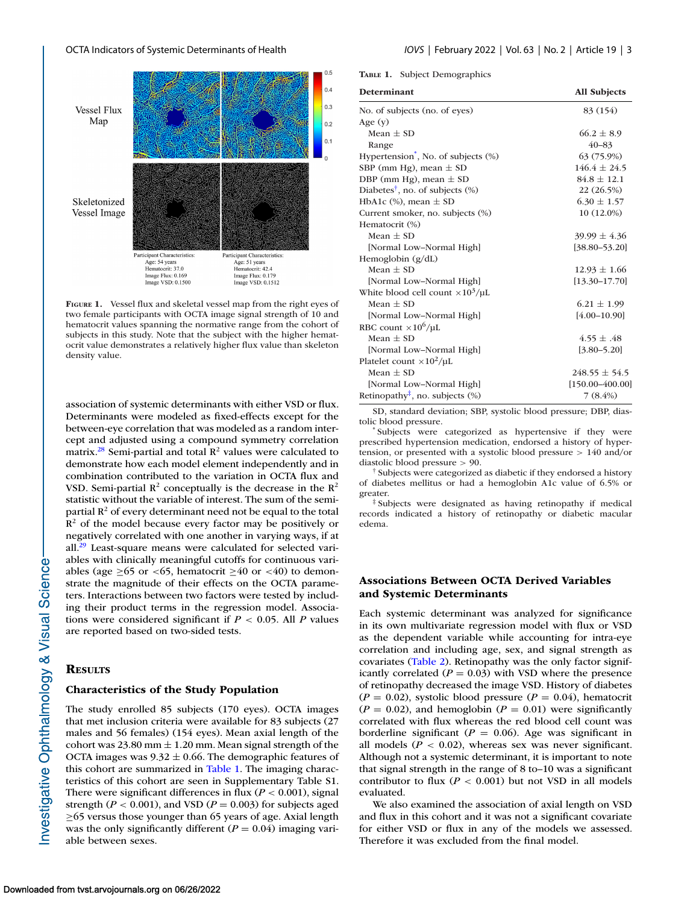<span id="page-2-0"></span>

**FIGURE 1.** Vessel flux and skeletal vessel map from the right eyes of two female participants with OCTA image signal strength of 10 and hematocrit values spanning the normative range from the cohort of subjects in this study. Note that the subject with the higher hematocrit value demonstrates a relatively higher flux value than skeleton density value.

association of systemic determinants with either VSD or flux. Determinants were modeled as fixed-effects except for the between-eye correlation that was modeled as a random intercept and adjusted using a compound symmetry correlation matrix.<sup>28</sup> Semi-partial and total  $\mathbb{R}^2$  values were calculated to demonstrate how each model element independently and in combination contributed to the variation in OCTA flux and VSD. Semi-partial  $R^2$  conceptually is the decrease in the  $R^2$ statistic without the variable of interest. The sum of the semipartial  $R^2$  of every determinant need not be equal to the total  $\mathbb{R}^2$  of the model because every factor may be positively or negatively correlated with one another in varying ways, if at all. $^{29}$  Least-square means were calculated for selected variables with clinically meaningful cutoffs for continuous variables (age ≥65 or <65, hematocrit ≥40 or <40) to demonstrate the magnitude of their effects on the OCTA parameters. Interactions between two factors were tested by including their product terms in the regression model. Associations were considered significant if *P* < 0.05. All *P* values are reported based on two-sided tests.

#### **RESULTS**

## **Characteristics of the Study Population**

The study enrolled 85 subjects (170 eyes). OCTA images that met inclusion criteria were available for 83 subjects (27 males and 56 females) (154 eyes). Mean axial length of the cohort was 23.80 mm  $\pm$  1.20 mm. Mean signal strength of the OCTA images was  $9.32 \pm 0.66$ . The demographic features of this cohort are summarized in Table 1. The imaging characteristics of this cohort are seen in Supplementary Table S1. There were significant differences in flux ( $P < 0.001$ ), signal strength ( $P < 0.001$ ), and VSD ( $P = 0.003$ ) for subjects aged ≥65 versus those younger than 65 years of age. Axial length was the only significantly different  $(P = 0.04)$  imaging variable between sexes.

**TABLE 1.** Subject Demographics

| <b>Determinant</b>                                              | <b>All Subjects</b> |
|-----------------------------------------------------------------|---------------------|
| No. of subjects (no. of eyes)                                   | 83 (154)            |
| Age $(y)$                                                       |                     |
| Mean $\pm$ SD                                                   | $66.2 \pm 8.9$      |
| Range                                                           | $40 - 83$           |
| Hypertension <sup>*</sup> , No. of subjects (%)                 | 63 (75.9%)          |
| SBP (mm Hg), mean $\pm$ SD                                      | $146.4 \pm 24.5$    |
| DBP (mm Hg), mean $\pm$ SD                                      | $84.8 \pm 12.1$     |
| Diabetes <sup>†</sup> , no. of subjects $(\%)$                  | 22 (26.5%)          |
| HbA1c $(\%)$ , mean $\pm$ SD                                    | $6.30 \pm 1.57$     |
| Current smoker, no. subjects (%)                                | 10 (12.0%)          |
| Hematocrit (%)                                                  |                     |
| Mean $\pm$ SD                                                   | $39.99 \pm 4.36$    |
| [Normal Low-Normal High]                                        | $[38.80 - 53.20]$   |
| Hemoglobin $(g/dL)$                                             |                     |
| Mean $\pm$ SD                                                   | $12.93 \pm 1.66$    |
| [Normal Low-Normal High]                                        | $[13.30 - 17.70]$   |
| White blood cell count $\times 10^3/\mu L$                      |                     |
| Mean $\pm$ SD                                                   | $6.21 \pm 1.99$     |
| [Normal Low-Normal High]                                        | $[4.00 - 10.90]$    |
| RBC count $\times 10^6/\mu L$                                   |                     |
| Mean $\pm$ SD                                                   | $4.55 \pm .48$      |
| [Normal Low-Normal High]                                        | $[3.80 - 5.20]$     |
| Platelet count $\times 10^2/\mu L$                              |                     |
| Mean $\pm$ SD                                                   | $248.55 \pm 54.5$   |
| [Normal Low-Normal High]                                        | $[150.00 - 400.00]$ |
| Retinopathy <sup><math>\ddagger</math></sup> , no. subjects $%$ | $7(8.4\%)$          |

SD, standard deviation; SBP, systolic blood pressure; DBP, diastolic blood pressure. \* Subjects were categorized as hypertensive if they were

prescribed hypertension medication, endorsed a history of hypertension, or presented with a systolic blood pressure > 140 and/or diastolic blood pressure > 90.

† Subjects were categorized as diabetic if they endorsed a history of diabetes mellitus or had a hemoglobin A1c value of 6.5% or greater.

‡ Subjects were designated as having retinopathy if medical records indicated a history of retinopathy or diabetic macular edema.

# **Associations Between OCTA Derived Variables and Systemic Determinants**

Each systemic determinant was analyzed for significance in its own multivariate regression model with flux or VSD as the dependent variable while accounting for intra-eye correlation and including age, sex, and signal strength as covariates [\(Table 2\)](#page-3-0). Retinopathy was the only factor significantly correlated  $(P = 0.03)$  with VSD where the presence of retinopathy decreased the image VSD. History of diabetes  $(P = 0.02)$ , systolic blood pressure  $(P = 0.04)$ , hematocrit  $(P = 0.02)$ , and hemoglobin  $(P = 0.01)$  were significantly correlated with flux whereas the red blood cell count was borderline significant ( $P = 0.06$ ). Age was significant in all models  $(P < 0.02)$ , whereas sex was never significant. Although not a systemic determinant, it is important to note that signal strength in the range of 8 to–10 was a significant contributor to flux  $(P < 0.001)$  but not VSD in all models evaluated.

We also examined the association of axial length on VSD and flux in this cohort and it was not a significant covariate for either VSD or flux in any of the models we assessed. Therefore it was excluded from the final model.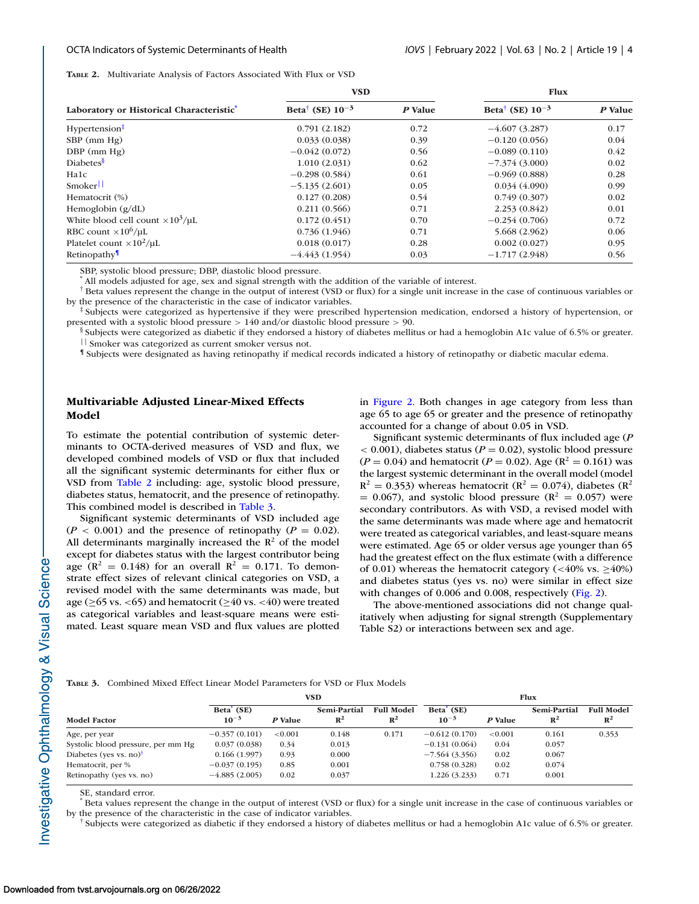<span id="page-3-0"></span>**TABLE 2.** Multivariate Analysis of Factors Associated With Flux or VSD

|                                            | <b>VSD</b>                       |         | <b>Flux</b>                      |         |  |
|--------------------------------------------|----------------------------------|---------|----------------------------------|---------|--|
| Laboratory or Historical Characteristic    | Beta <sup>†</sup> (SE) $10^{-3}$ | P Value | Beta <sup>†</sup> (SE) $10^{-3}$ | P Value |  |
| Hypertension <sup>‡</sup>                  | 0.791(2.182)                     | 0.72    | $-4.607(3.287)$                  | 0.17    |  |
| $SBP$ (mm $Hg$ )                           | 0.033(0.038)                     | 0.39    | $-0.120(0.056)$                  | 0.04    |  |
| $DBP$ (mm $Hg$ )                           | $-0.042(0.072)$                  | 0.56    | $-0.089(0.110)$                  | 0.42    |  |
| Diabetes <sup>§</sup>                      | 1.010(2.031)                     | 0.62    | $-7.374(3.000)$                  | 0.02    |  |
| Ha1c                                       | $-0.298(0.584)$                  | 0.61    | $-0.969(0.888)$                  | 0.28    |  |
| Smoker                                     | $-5.135(2.601)$                  | 0.05    | 0.034(4.090)                     | 0.99    |  |
| Hematocrit (%)                             | 0.127(0.208)                     | 0.54    | 0.749(0.307)                     | 0.02    |  |
| Hemoglobin $(g/dL)$                        | 0.211(0.566)                     | 0.71    | 2.253(0.842)                     | 0.01    |  |
| White blood cell count $\times 10^3/\mu L$ | 0.172(0.451)                     | 0.70    | $-0.254(0.706)$                  | 0.72    |  |
| RBC count $\times 10^6/\mu L$              | 0.736(1.946)                     | 0.71    | 5.668 (2.962)                    | 0.06    |  |
| Platelet count $\times 10^2/\mu L$         | 0.018(0.017)                     | 0.28    | 0.002(0.027)                     | 0.95    |  |
| Retinopathy                                | $-4.443(1.954)$                  | 0.03    | $-1.717(2.948)$                  | 0.56    |  |

SBP, systolic blood pressure; DBP, diastolic blood pressure.

All models adjusted for age, sex and signal strength with the addition of the variable of interest.

† Beta values represent the change in the output of interest (VSD or flux) for a single unit increase in the case of continuous variables or by the presence of the characteristic in the case of indicator variables.

‡ Subjects were categorized as hypertensive if they were prescribed hypertension medication, endorsed a history of hypertension, or presented with a systolic blood pressure > 140 and/or diastolic blood pressure > 90.

§ Subjects were categorized as diabetic if they endorsed a history of diabetes mellitus or had a hemoglobin A1c value of 6.5% or greater. || Smoker was categorized as current smoker versus not.

¶ Subjects were designated as having retinopathy if medical records indicated a history of retinopathy or diabetic macular edema.

# **Multivariable Adjusted Linear-Mixed Effects Model**

To estimate the potential contribution of systemic determinants to OCTA-derived measures of VSD and flux, we developed combined models of VSD or flux that included all the significant systemic determinants for either flux or VSD from Table 2 including: age, systolic blood pressure, diabetes status, hematocrit, and the presence of retinopathy. This combined model is described in Table 3.

Significant systemic determinants of VSD included age  $(P < 0.001)$  and the presence of retinopathy  $(P = 0.02)$ . All determinants marginally increased the  $\mathbb{R}^2$  of the model except for diabetes status with the largest contributor being age ( $\mathbb{R}^2 = 0.148$ ) for an overall  $\mathbb{R}^2 = 0.171$ . To demonstrate effect sizes of relevant clinical categories on VSD, a revised model with the same determinants was made, but age ( $\geq$ 65 vs. <65) and hematocrit ( $\geq$ 40 vs. <40) were treated as categorical variables and least-square means were estimated. Least square mean VSD and flux values are plotted in [Figure 2.](#page-4-0) Both changes in age category from less than age 65 to age 65 or greater and the presence of retinopathy accounted for a change of about 0.05 in VSD.

Significant systemic determinants of flux included age (*P*  $<$  0.001), diabetes status ( $P = 0.02$ ), systolic blood pressure  $(P = 0.04)$  and hematocrit  $(P = 0.02)$ . Age  $(R^2 = 0.161)$  was the largest systemic determinant in the overall model (model  $R^2 = 0.353$ ) whereas hematocrit ( $R^2 = 0.074$ ), diabetes ( $R^2$ )  $= 0.067$ ), and systolic blood pressure ( $\mathbb{R}^2 = 0.057$ ) were secondary contributors. As with VSD, a revised model with the same determinants was made where age and hematocrit were treated as categorical variables, and least-square means were estimated. Age 65 or older versus age younger than 65 had the greatest effect on the flux estimate (with a difference of 0.01) whereas the hematocrit category (<40% vs.  $\geq$ 40%) and diabetes status (yes vs. no) were similar in effect size with changes of 0.006 and 0.008, respectively [\(Fig. 2\)](#page-4-0).

The above-mentioned associations did not change qualitatively when adjusting for signal strength (Supplementary Table S2) or interactions between sex and age.

| <b>TABLE 3.</b> Combined Mixed Effect Linear Model Parameters for VSD or Flux Models |  |
|--------------------------------------------------------------------------------------|--|
|--------------------------------------------------------------------------------------|--|

|                                    | VSD                                 |            |                                | <b>Flux</b>                         |                                     |         |                                |                                     |
|------------------------------------|-------------------------------------|------------|--------------------------------|-------------------------------------|-------------------------------------|---------|--------------------------------|-------------------------------------|
| <b>Model Factor</b>                | Beta <sup>'</sup> (SE)<br>$10^{-3}$ | P Value    | Semi-Partial<br>$\mathbb{R}^2$ | <b>Full Model</b><br>$\mathbb{R}^2$ | Beta <sup>'</sup> (SE)<br>$10^{-3}$ | P Value | Semi-Partial<br>$\mathbb{R}^2$ | <b>Full Model</b><br>$\mathbb{R}^2$ |
| Age, per year                      | $-0.357(0.101)$                     | ${<}0.001$ | 0.148                          | 0.171                               | $-0.612(0.170)$                     | < 0.001 | 0.161                          | 0.353                               |
| Systolic blood pressure, per mm Hg | 0.037(0.038)                        | 0.34       | 0.013                          |                                     | $-0.131(0.064)$                     | 0.04    | 0.057                          |                                     |
| Diabetes (yes vs. no) $^{\dagger}$ | 0.166(1.997)                        | 0.93       | 0.000                          |                                     | $-7.564(3.356)$                     | 0.02    | 0.067                          |                                     |
| Hematocrit, per %                  | $-0.037(0.195)$                     | 0.85       | 0.001                          |                                     | 0.758(0.328)                        | 0.02    | 0.074                          |                                     |
| Retinopathy (yes vs. no)           | $-4.885(2.005)$                     | 0.02       | 0.037                          |                                     | 1.226(3.233)                        | 0.71    | 0.001                          |                                     |

SE, standard error.

Beta values represent the change in the output of interest (VSD or flux) for a single unit increase in the case of continuous variables or by the presence of the characteristic in the case of indicator variables.

† Subjects were categorized as diabetic if they endorsed a history of diabetes mellitus or had a hemoglobin A1c value of 6.5% or greater.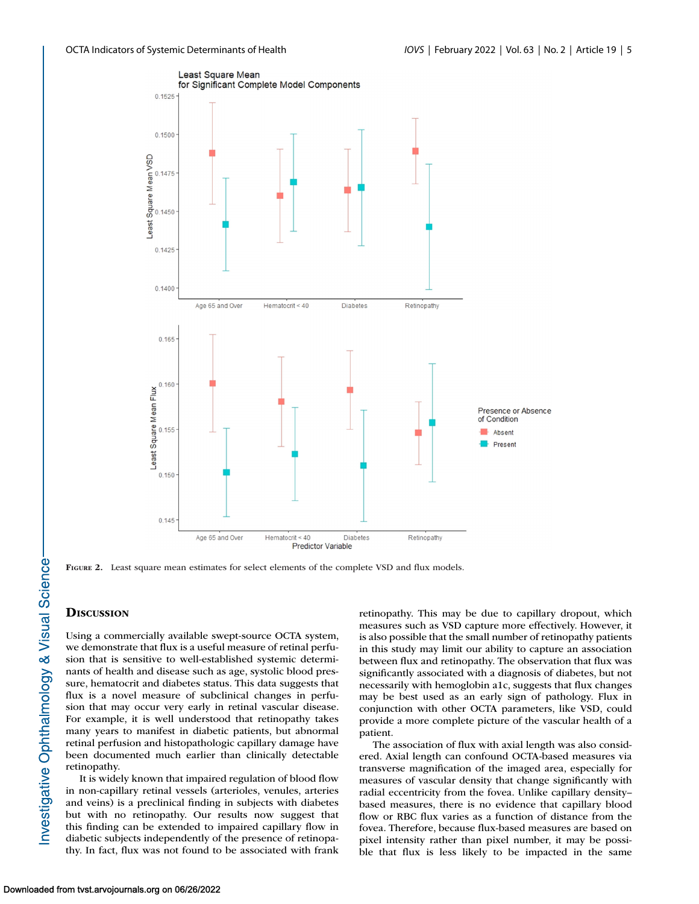<span id="page-4-0"></span>

**FIGURE 2.** Least square mean estimates for select elements of the complete VSD and flux models.

# **DISCUSSION**

Using a commercially available swept-source OCTA system, we demonstrate that flux is a useful measure of retinal perfusion that is sensitive to well-established systemic determinants of health and disease such as age, systolic blood pressure, hematocrit and diabetes status. This data suggests that flux is a novel measure of subclinical changes in perfusion that may occur very early in retinal vascular disease. For example, it is well understood that retinopathy takes many years to manifest in diabetic patients, but abnormal retinal perfusion and histopathologic capillary damage have been documented much earlier than clinically detectable retinopathy.

It is widely known that impaired regulation of blood flow in non-capillary retinal vessels (arterioles, venules, arteries and veins) is a preclinical finding in subjects with diabetes but with no retinopathy. Our results now suggest that this finding can be extended to impaired capillary flow in diabetic subjects independently of the presence of retinopathy. In fact, flux was not found to be associated with frank retinopathy. This may be due to capillary dropout, which measures such as VSD capture more effectively. However, it is also possible that the small number of retinopathy patients in this study may limit our ability to capture an association between flux and retinopathy. The observation that flux was significantly associated with a diagnosis of diabetes, but not necessarily with hemoglobin a1c, suggests that flux changes may be best used as an early sign of pathology. Flux in conjunction with other OCTA parameters, like VSD, could provide a more complete picture of the vascular health of a patient.

The association of flux with axial length was also considered. Axial length can confound OCTA-based measures via transverse magnification of the imaged area, especially for measures of vascular density that change significantly with radial eccentricity from the fovea. Unlike capillary density– based measures, there is no evidence that capillary blood flow or RBC flux varies as a function of distance from the fovea. Therefore, because flux-based measures are based on pixel intensity rather than pixel number, it may be possible that flux is less likely to be impacted in the same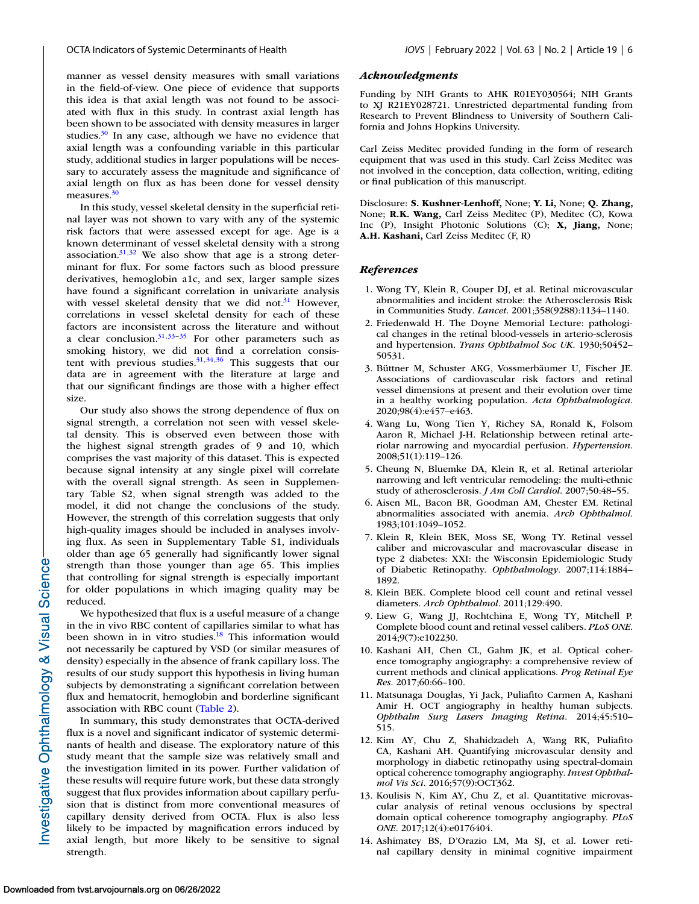<span id="page-5-0"></span>manner as vessel density measures with small variations in the field-of-view. One piece of evidence that supports this idea is that axial length was not found to be associated with flux in this study. In contrast axial length has been shown to be associated with density measures in larger studies. $30$  In any case, although we have no evidence that axial length was a confounding variable in this particular study, additional studies in larger populations will be necessary to accurately assess the magnitude and significance of axial length on flux as has been done for vessel density measures.<sup>30</sup>

In this study, vessel skeletal density in the superficial retinal layer was not shown to vary with any of the systemic risk factors that were assessed except for age. Age is a known determinant of vessel skeletal density with a strong association. $31,32$  We also show that age is a strong determinant for flux. For some factors such as blood pressure derivatives, hemoglobin a1c, and sex, larger sample sizes have found a significant correlation in univariate analysis with vessel skeletal density that we did not. $31$  However, correlations in vessel skeletal density for each of these factors are inconsistent across the literature and without a clear conclusion. $31,33-35$  For other parameters such as smoking history, we did not find a correlation consistent with previous studies. $31,34,36$  This suggests that our data are in agreement with the literature at large and that our significant findings are those with a higher effect size.

Our study also shows the strong dependence of flux on signal strength, a correlation not seen with vessel skeletal density. This is observed even between those with the highest signal strength grades of 9 and 10, which comprises the vast majority of this dataset. This is expected because signal intensity at any single pixel will correlate with the overall signal strength. As seen in Supplementary Table S2, when signal strength was added to the model, it did not change the conclusions of the study. However, the strength of this correlation suggests that only high-quality images should be included in analyses involving flux. As seen in Supplementary Table S1, individuals older than age 65 generally had significantly lower signal strength than those younger than age 65. This implies that controlling for signal strength is especially important for older populations in which imaging quality may be reduced.

We hypothesized that flux is a useful measure of a change in the in vivo RBC content of capillaries similar to what has been shown in in vitro studies.<sup>18</sup> This information would not necessarily be captured by VSD (or similar measures of density) especially in the absence of frank capillary loss. The results of our study support this hypothesis in living human subjects by demonstrating a significant correlation between flux and hematocrit, hemoglobin and borderline significant association with RBC count [\(Table 2\)](#page-3-0).

In summary, this study demonstrates that OCTA-derived flux is a novel and significant indicator of systemic determinants of health and disease. The exploratory nature of this study meant that the sample size was relatively small and the investigation limited in its power. Further validation of these results will require future work, but these data strongly suggest that flux provides information about capillary perfusion that is distinct from more conventional measures of capillary density derived from OCTA. Flux is also less likely to be impacted by magnification errors induced by axial length, but more likely to be sensitive to signal strength.

#### *Acknowledgments*

Funding by NIH Grants to AHK R01EY030564; NIH Grants to XJ R21EY028721. Unrestricted departmental funding from Research to Prevent Blindness to University of Southern California and Johns Hopkins University.

Carl Zeiss Meditec provided funding in the form of research equipment that was used in this study. Carl Zeiss Meditec was not involved in the conception, data collection, writing, editing or final publication of this manuscript.

Disclosure: **S. Kushner-Lenhoff,** None; **Y. Li,** None; **Q. Zhang,** None; **R.K. Wang,** Carl Zeiss Meditec (P), Meditec (C), Kowa Inc (P), Insight Photonic Solutions (C); **X, Jiang,** None; **A.H. Kashani,** Carl Zeiss Meditec (F, R)

#### *References*

- 1. Wong TY, Klein R, Couper DJ, et al. Retinal microvascular abnormalities and incident stroke: the Atherosclerosis Risk in Communities Study. *Lancet*. 2001;358(9288):1134–1140.
- 2. Friedenwald H. The Doyne Memorial Lecture: pathological changes in the retinal blood-vessels in arterio-sclerosis and hypertension. *Trans Ophthalmol Soc UK*. 1930;50452– 50531.
- 3. Büttner M, Schuster AKG, Vossmerbäumer U, Fischer JE. Associations of cardiovascular risk factors and retinal vessel dimensions at present and their evolution over time in a healthy working population. *Acta Ophthalmologica*. 2020;98(4):e457–e463.
- 4. Wang Lu, Wong Tien Y, Richey SA, Ronald K, Folsom Aaron R, Michael J-H. Relationship between retinal arteriolar narrowing and myocardial perfusion. *Hypertension*. 2008;51(1):119–126.
- 5. Cheung N, Bluemke DA, Klein R, et al. Retinal arteriolar narrowing and left ventricular remodeling: the multi-ethnic study of atherosclerosis. *J Am Coll Cardiol*. 2007;50:48–55.
- 6. Aisen ML, Bacon BR, Goodman AM, Chester EM. Retinal abnormalities associated with anemia. *Arch Ophthalmol*. 1983;101:1049–1052.
- 7. Klein R, Klein BEK, Moss SE, Wong TY. Retinal vessel caliber and microvascular and macrovascular disease in type 2 diabetes: XXI: the Wisconsin Epidemiologic Study of Diabetic Retinopathy. *Ophthalmology*. 2007;114:1884– 1892.
- 8. Klein BEK. Complete blood cell count and retinal vessel diameters. *Arch Ophthalmol*. 2011;129:490.
- 9. Liew G, Wang JJ, Rochtchina E, Wong TY, Mitchell P. Complete blood count and retinal vessel calibers. *PLoS ONE*. 2014;9(7):e102230.
- 10. Kashani AH, Chen CL, Gahm JK, et al. Optical coherence tomography angiography: a comprehensive review of current methods and clinical applications. *Prog Retinal Eye Res*. 2017;60:66–100.
- 11. Matsunaga Douglas, Yi Jack, Puliafito Carmen A, Kashani Amir H. OCT angiography in healthy human subjects. *Ophthalm Surg Lasers Imaging Retina*. 2014;45:510– 515.
- 12. Kim AY, Chu Z, Shahidzadeh A, Wang RK, Puliafito CA, Kashani AH. Quantifying microvascular density and morphology in diabetic retinopathy using spectral-domain optical coherence tomography angiography. *Invest Ophthalmol Vis Sci*. 2016;57(9):OCT362.
- 13. Koulisis N, Kim AY, Chu Z, et al. Quantitative microvascular analysis of retinal venous occlusions by spectral domain optical coherence tomography angiography. *PLoS ONE*. 2017;12(4):e0176404.
- 14. Ashimatey BS, D'Orazio LM, Ma SJ, et al. Lower retinal capillary density in minimal cognitive impairment